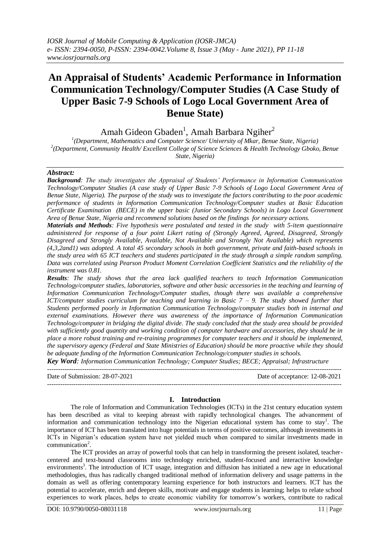# **An Appraisal of Students' Academic Performance in Information Communication Technology/Computer Studies (A Case Study of Upper Basic 7-9 Schools of Logo Local Government Area of Benue State)**

Amah Gideon Gbaden<sup>1</sup>, Amah Barbara Ngiher<sup>2</sup>

<sup>1</sup>(Department, Mathematics and Computer Science/ University of Mkar, Benue State, Nigeria) *2 (Department, Community Health/ Excellent College of Science Sciences & Health Technology Gboko, Benue State, Nigeria)* 

# *Abstract:*

*Background: The study investigates the Appraisal of Students' Performance in Information Communication Technology/Computer Studies (A case study of Upper Basic 7-9 Schools of Logo Local Government Area of Benue State, Nigeria). The purpose of the study was to investigate the factors contributing to the poor academic performance of students in Information Communication Technology/Computer studies at Basic Education Certificate Examination (BECE) in the upper basic (Junior Secondary Schools) in Logo Local Government Area of Benue State, Nigeria and recommend solutions based on the findings for necessary actions.*

*Materials and Methods: Five hypothesis were postulated and tested in the study with 5-item questionnaire administered for response of a four point Likert rating of (Strongly Agreed, Agreed, Disagreed, Strongly Disagreed and Strongly Available, Available, Not Available and Strongly Not Available) which represents (4,3,2and1) was adopted. A total 45 secondary schools in both government, private and faith-based schools in the study area with 65 ICT teachers and students participated in the study through a simple random sampling. Data was correlated using Pearson Product Moment Correlation Coefficient Statistics and the reliability of the instrument was 0.81.* 

*Results: The study shows that the area lack qualified teachers to teach Information Communication Technology/computer studies, laboratories, software and other basic accessories in the teaching and learning of Information Communication Technology/Computer studies, though there was available a comprehensive ICT/computer studies curriculum for teaching and learning in Basic 7 – 9. The study showed further that Students performed poorly in Information Communication Technology/computer studies both in internal and external examinations. However there was awareness of the importance of Information Communication Technology/computer in bridging the digital divide. The study concluded that the study area should be provided with sufficiently good quantity and working condition of computer hardware and accessories, they should be in place a more robust training and re-training programmes for computer teachers and it should be implemented, the supervisory agency (Federal and State Ministries of Education) should be more proactive while they should be adequate funding of the Information Communication Technology/computer studies in schools.*

*Key Word: Information Communication Technology; Computer Studies; BECE; Appraisal; Infrastructure* ---------------------------------------------------------------------------------------------------------------------------------------

Date of Submission: 28-07-2021 Date of acceptance: 12-08-2021 ---------------------------------------------------------------------------------------------------------------------------------------

# **I. Introduction**

The role of Information and Communication Technologies (ICTs) in the 21st century education system has been described as vital to keeping abreast with rapidly technological changes. The advancement of information and communication technology into the Nigerian educational system has come to stay<sup>1</sup>. The importance of ICT has been translated into huge potentials in terms of positive outcomes, although investments in ICTs in Nigerian's education system have not yielded much when compared to similar investments made in communication<sup>2</sup>.

The ICT provides an array of powerful tools that can help in transforming the present isolated, teachercentered and text-bound classrooms into technology enriched, student-focused and interactive knowledge environments<sup>3</sup>. The introduction of ICT usage, integration and diffusion has initiated a new age in educational methodologies, thus has radically changed traditional method of information delivery and usage patterns in the domain as well as offering contemporary learning experience for both instructors and learners. ICT has the potential to accelerate, enrich and deepen skills, motivate and engage students in learning; helps to relate school experiences to work places, helps to create economic viability for tomorrow's workers, contribute to radical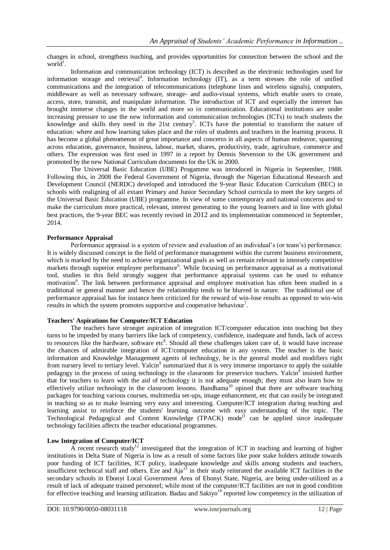changes in school, strengthens teaching, and provides opportunities for connection between the school and the world<sup>1</sup>.

Information and communication technology (ICT) is described as the electronic technologies used for information storage and retrieval<sup>4</sup>. Information technology (IT), as a term stresses the role of unified communications and the integration of telecommunications (telephone lines and wireless signals), computers, middleware as well as necessary software, storage- and audio-visual systems, which enable users to create, access, store, transmit, and manipulate information. The introduction of ICT and especially the internet has brought immerse changes in the world and more so in communication. Educational institutions are under increasing pressure to use the new information and communication technologies (ICTs) to teach students the knowledge and skills they need in the  $21st$  century<sup>5</sup>. ICTs have the potential to transform the nature of education: where and how learning takes place and the roles of students and teachers in the learning process. It has become a global phenomenon of great importance and concerns in all aspects of human endeavor, spanning across education, governance, business, labour, market, shares, productivity, trade, agriculture, commerce and others. The expression was first used in 1997 in a report by Dennis Stevenson to the UK government and promoted by the new National Curriculum documents for the UK in 2000.

The Universal Basic Education (UBE) Progamme was introduced in Nigeria in September, 1988. Following this, in 2008 the Federal Government of Nigeria, through the Nigerian Educational Research and Development Council (NERDC) developed and introduced the 9-year Basic Education Curriculum (BEC) in schools with realigning of all extant Primary and Junior Secondary School curricula to meet the key targets of the Universal Basic Education (UBE) programme. In view of some contemporary and national concerns and to make the curriculum more practical, relevant, interest generating to the young learners and in line with global best practices, the 9-year BEC was recently revised in 2012 and its implementation commenced in September, 2014.

# **Performance Appraisal**

Performance appraisal is a system of review and evaluation of an individual's (or team's) performance. It is widely discussed concept in the field of performance management within the current business environment, which is marked by the need to achieve organizational goals as well as remain relevant in intensely competitive markets through superior employee performance<sup>6</sup>. While focusing on performance appraisal as a motivational tool, studies in this field strongly suggest that performance appraisal systems can be used to enhance motivation<sup>6</sup>. The link between performance appraisal and employee motivation has often been studied in a traditional or general manner and hence the relationship tends to be blurred in nature. The traditional use of performance appraisal has for instance been criticized for the reward of win-lose results as opposed to win-win results in which the system promotes supportive and cooperative behaviour<sup>7</sup>.

#### **Teachers' Aspirations for Computer/ICT Education**

The teachers have stronger aspiration of integration ICT/computer education into teaching but they turns to be impeded by many barriers like lack of competency, confidence, inadequate and funds, lack of access to resources like the hardware, software etc<sup>8</sup>. Should all these challenges taken care of, it would have increase the chances of admirable integration of ICT/computer education in any system. The teacher is the basic information and Knowledge Management agents of technology, he is the general model and modifiers right from nursery level to tertiary level. Yalcin<sup>9</sup> summarized that it is very immerse importance to apply the suitable pedagogy in the process of using technology in the classroom for preservice teachers. Yalcin<sup>9</sup> insisted further that for teachers to learn with the aid of technology it is not adequate enough; they must also learn how to effectively utilize technology in the classroom lessons. Bandhama<sup>10</sup> opined that there are software teaching packages for teaching various courses, multimedia set-ups, image enhancement, etc that can easily be integrated in teaching so as to make learning very easy and interesting. Computer/ICT integration during teaching and learning assist to reinforce the students' learning outcome with easy understanding of the topic. The Technological Pedagogical and Content Knowledge (TPACK) mode<sup>l1</sup> can be applied since inadequate technology facilities affects the teacher educational programmes.

# **Low Integration of Computer/ICT**

A recent research study<sup>12</sup> investigated that the integration of ICT in teaching and learning of higher institutions in Delta State of Nigeria is low as a result of some factors like poor stake holders attitude towards poor funding of ICT facilities, ICT policy, inadequate knowledge and skills among students and teachers, insufficient technical staff and others. Eze and  $Aia<sup>13</sup>$  in their study reiterated the available ICT facilities in the secondary schools in Ebonyi Local Government Area of Ebonyi State, Nigeria, are being under-utilized as a result of lack of adequate trained personnel; while most of the computer/ICT facilities are not in good condition for effective teaching and learning utilization. Badau and Sakiyo<sup>14</sup> reported low competency in the utilization of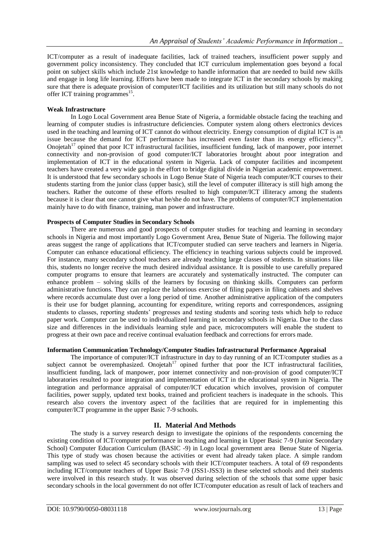ICT/computer as a result of inadequate facilities, lack of trained teachers, insufficient power supply and government policy inconsistency. They concluded that ICT curriculum implementation goes beyond a focal point on subject skills which include 21st knowledge to handle information that are needed to build new skills and engage in long life learning. Efforts have been made to integrate ICT in the secondary schools by making sure that there is adequate provision of computer/ICT facilities and its utilization but still many schools do not offer ICT training programmes<sup>15</sup>.

# **Weak Infrastructure**

In Logo Local Government area Benue State of Nigeria, a formidable obstacle facing the teaching and learning of computer studies is infrastructure deficiencies. Computer system along others electronics devices used in the teaching and learning of ICT cannot do without electricity. Energy consumption of digital ICT is an issue because the demand for ICT performance has increased even faster than its energy efficiency<sup>16</sup>. Onojetah<sup>17</sup> opined that poor ICT infrastructural facilities, insufficient funding, lack of manpower, poor internet connectivity and non-provision of good computer/ICT laboratories brought about poor integration and implementation of ICT in the educational system in Nigeria. Lack of computer facilities and incompetent teachers have created a very wide gap in the effort to bridge digital divide in Nigerian academic empowerment. It is understood that few secondary schools in Logo Benue State of Nigeria teach computer/ICT courses to their students starting from the junior class (upper basic), still the level of computer illiteracy is still high among the teachers. Rather the outcome of these efforts resulted to high computer/ICT illiteracy among the students because it is clear that one cannot give what he/she do not have. The problems of computer/ICT implementation mainly have to do with finance, training, man power and infrastructure.

# **Prospects of Computer Studies in Secondary Schools**

There are numerous and good prospects of computer studies for teaching and learning in secondary schools in Nigeria and most importantly Logo Government Area, Benue State of Nigeria. The following major areas suggest the range of applications that ICT/computer studied can serve teachers and learners in Nigeria. Computer can enhance educational efficiency. The efficiency in teaching various subjects could be improved. For instance, many secondary school teachers are already teaching large classes of students. In situations like this, students no longer receive the much desired individual assistance. It is possible to use carefully prepared computer programs to ensure that learners are accurately and systematically instructed. The computer can enhance problem – solving skills of the learners by focusing on thinking skills. Computers can perform administrative functions. They can replace the laborious exercise of filing papers in filing cabinets and shelves where records accumulate dust over a long period of time. Another administrative application of the computers is their use for budget planning, accounting for expenditure, writing reports and correspondences, assigning students to classes, reporting students' progresses and testing students and scoring tests which help to reduce paper work. Computer can be used to individualized learning in secondary schools in Nigeria. Due to the class size and differences in the individuals learning style and pace, microcomputers will enable the student to progress at their own pace and receive continual evaluation feedback and corrections for errors made.

# **Information Communication Technology/Computer Studies Infrastructural Performance Appraisal**

The importance of computer/ICT infrastructure in day to day running of an ICT/computer studies as a subject cannot be overemphasized. Onojetah<sup>17</sup> opined further that poor the ICT infrastructural facilities, insufficient funding, lack of manpower, poor internet connectivity and non-provision of good computer/ICT laboratories resulted to poor integration and implementation of ICT in the educational system in Nigeria. The integration and performance appraisal of computer/ICT education which involves, provision of computer facilities, power supply, updated text books, trained and proficient teachers is inadequate in the schools. This research also covers the inventory aspect of the facilities that are required for in implementing this computer/ICT programme in the upper Basic 7-9 schools.

# **II. Material And Methods**

The study is a survey research design to investigate the opinions of the respondents concerning the existing condition of ICT/computer performance in teaching and learning in Upper Basic 7-9 (Junior Secondary School) Computer Education Curriculum (BASIC -9) in Logo local government area Benue State of Nigeria. This type of study was chosen because the activities or event had already taken place. A simple random sampling was used to select 45 secondary schools with their ICT/computer teachers. A total of 69 respondents including ICT/computer teachers of Upper Basic 7-9 (JSS1-JSS3) in these selected schools and their students were involved in this research study. It was observed during selection of the schools that some upper basic secondary schools in the local government do not offer ICT/computer education as result of lack of teachers and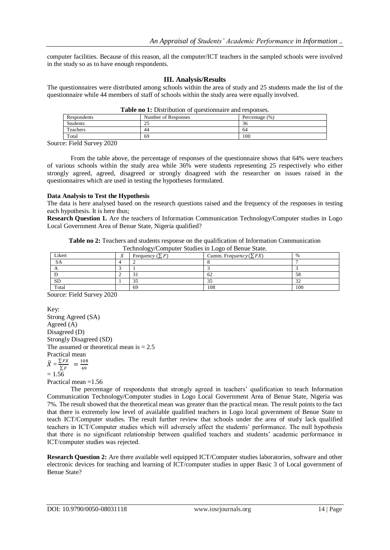computer facilities. Because of this reason, all the computer/ICT teachers in the sampled schools were involved in the study so as to have enough respondents.

#### **III. Analysis/Results**

The questionnaires were distributed among schools within the area of study and 25 students made the list of the questionnaire while 44 members of staff of schools within the study area were equally involved.

| <b>THEIR IN 11 DESIGNATION OF GROSSIVILLATIC AND TOPOTHOOS.</b> |                     |                   |  |  |
|-----------------------------------------------------------------|---------------------|-------------------|--|--|
| Respondents                                                     | Number of Responses | Percentage $(\%)$ |  |  |
| Students                                                        | ت                   | 36                |  |  |
| Teachers                                                        | 44                  | 64                |  |  |
| Total                                                           | 69                  | 100               |  |  |
| _______<br>- - - -                                              |                     |                   |  |  |

Source: Field Survey 2020

From the table above, the percentage of responses of the questionnaire shows that 64% were teachers of various schools within the study area while 36% were students representing 25 respectively who either strongly agreed, agreed, disagreed or strongly disagreed with the researcher on issues raised in the questionnaires which are used in testing the hypotheses formulated.

# **Data Analysis to Test the Hypothesis**

The data is here analysed based on the research questions raised and the frequency of the responses in testing each hypothesis. It is here thus;

**Research Question 1.** Are the teachers of Information Communication Technology/Computer studies in Logo Local Government Area of Benue State, Nigeria qualified?

**Table no 2:** Teachers and students response on the qualification of Information Communication  $Technolov/Computer Studies in Loep of Be$ 

| Likert    | Technology/Computer Studies in Logo of Benue State.<br>Frequency $(\sum F)$ | Cumm. Frequency ( $\sum FX$ ) | $\%$ |
|-----------|-----------------------------------------------------------------------------|-------------------------------|------|
| <b>SA</b> |                                                                             |                               |      |
|           |                                                                             |                               |      |
|           |                                                                             |                               | 58   |
| <b>SD</b> |                                                                             |                               | 32   |
| Total     | 69                                                                          | 108                           | 100  |

Source: Field Survey 2020

Key: Strong Agreed (SA) Agreed (A) Disagreed (D) Strongly Disagreed (SD) The assumed or theoretical mean is  $= 2.5$ Practical mean  $\bar{X}=\frac{\sum}{\sum}$  $\frac{\sum FX}{\sum F}$  =  $\frac{1}{6}$ 6  $= 1.56$ Practical mean =1.56

The percentage of respondents that strongly agreed in teachers' qualification to teach Information Communication Technology/Computer studies in Logo Local Government Area of Benue State, Nigeria was 7%. The result showed that the theoretical mean was greater than the practical mean. The result points to the fact that there is extremely low level of available qualified teachers in Logo local government of Benue State to teach ICT/Computer studies. The result further review that schools under the area of study lack qualified teachers in ICT/Computer studies which will adversely affect the students' performance. The null hypothesis that there is no significant relationship between qualified teachers and students' academic performance in ICT/computer studies was rejected.

**Research Question 2:** Are there available well equipped ICT/Computer studies laboratories, software and other electronic devices for teaching and learning of ICT/computer studies in upper Basic 3 of Local government of Benue State?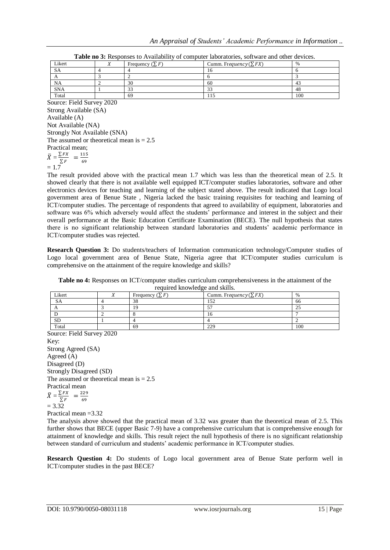| Likert     | $(\nabla$ F<br>Frequency $(\Sigma)$ | Cumm. Frequency $(\sum FX)$ | $\%$ |
|------------|-------------------------------------|-----------------------------|------|
| <b>SA</b>  |                                     | ıо                          |      |
|            |                                     |                             |      |
| NA         | 30                                  | 60                          | 41   |
| <b>SNA</b> |                                     |                             | 48   |
| Total      | -69                                 |                             | 100  |

Source: Field Survey 2020 Strong Available (SA) Available (A) Not Available (NA) Strongly Not Available (SNA) The assumed or theoretical mean is  $= 2.5$ Practical mean;  $\bar{X}=\frac{\sum}{\sum}$  $\frac{\sum FX}{\sum F} = \frac{1}{6}$ 6  $= 1.7$ 

The result provided above with the practical mean 1.7 which was less than the theoretical mean of 2.5. It showed clearly that there is not available well equipped ICT/computer studies laboratories, software and other electronics devices for teaching and learning of the subject stated above. The result indicated that Logo local government area of Benue State , Nigeria lacked the basic training requisites for teaching and learning of ICT/computer studies. The percentage of respondents that agreed to availability of equipment, laboratories and software was 6% which adversely would affect the students' performance and interest in the subject and their overall performance at the Basic Education Certificate Examination (BECE). The null hypothesis that states there is no significant relationship between standard laboratories and students' academic performance in ICT/computer studies was rejected.

**Research Question 3:** Do students/teachers of Information communication technology/Computer studies of Logo local government area of Benue State, Nigeria agree that ICT/computer studies curriculum is comprehensive on the attainment of the require knowledge and skills?

**Table no 4:** Responses on ICT/computer studies curriculum comprehensiveness in the attainment of the required knowledge and skills.

| Likert    | Frequency $(\sum F)$ | Cumm. Frequency $(\sum FX)$ |     |
|-----------|----------------------|-----------------------------|-----|
|           | 38                   |                             | 66  |
|           |                      |                             | ندک |
|           |                      |                             |     |
| <b>SD</b> |                      |                             |     |
| Total     | 69                   | າາດ                         | 100 |

Source: Field Survey 2020 Key: Strong Agreed (SA) Agreed (A) Disagreed (D) Strongly Disagreed (SD) The assumed or theoretical mean is  $= 2.5$ Practical mean  $\bar{X}=\frac{\sum}{\lambda}$  $\frac{\sum FX}{\sum F}$  =  $\frac{2}{6}$  $\sum F$  6<br>= 3.32

Practical mean =3.32

The analysis above showed that the practical mean of 3.32 was greater than the theoretical mean of 2.5. This further shows that BECE (upper Basic 7-9) have a comprehensive curriculum that is comprehensive enough for attainment of knowledge and skills. This result reject the null hypothesis of there is no significant relationship between standard of curriculum and students' academic performance in ICT/computer studies.

**Research Question 4:** Do students of Logo local government area of Benue State perform well in ICT/computer studies in the past BECE?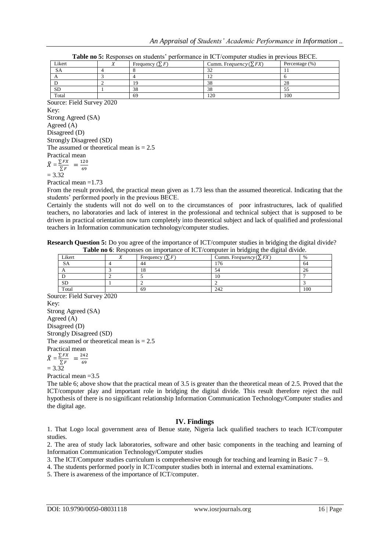| Likert    | Frequency $(\sum F)$ | Cumm. Frequency ( $\sum FX$ ) | Percentage $(\%)$ |
|-----------|----------------------|-------------------------------|-------------------|
| SA        |                      |                               |                   |
|           |                      |                               |                   |
|           | 19                   | 38                            | 28                |
| <b>SD</b> | 38                   | 38                            |                   |
| Total     | 69                   | 120                           | 100               |

**Table no 5:** Responses on students' performance in ICT/computer studies in previous BECE.

Source: Field Survey 2020 Key: Strong Agreed (SA) Agreed (A) Disagreed (D) Strongly Disagreed (SD) The assumed or theoretical mean is  $= 2.5$ Practical mean  $\bar{X}=\frac{\sum}{\lambda}$  $\frac{\sum FX}{\sum F}$  =  $\frac{1}{6}$ 6

$$
= 3.32
$$

Practical mean =1.73

From the result provided, the practical mean given as 1.73 less than the assumed theoretical. Indicating that the students' performed poorly in the previous BECE.

Certainly the students will not do well on to the circumstances of poor infrastructures, lack of qualified teachers, no laboratories and lack of interest in the professional and technical subject that is supposed to be driven in practical orientation now turn completely into theoretical subject and lack of qualified and professional teachers in Information communication technology/computer studies.

**Research Question 5:** Do you agree of the importance of ICT/computer studies in bridging the digital divide? **Table no 6**: Responses on importance of ICT/computer in bridging the digital divide.

| Likert    |  | Frequency $(\sum F)$ | Cumm. Frequency $(\sum FX)$ | $\%$ |
|-----------|--|----------------------|-----------------------------|------|
| <b>SA</b> |  | 44                   | 76                          | 64   |
|           |  | 10                   |                             | 26   |
|           |  |                      | 10                          |      |
| <b>SD</b> |  |                      |                             |      |
| Total     |  | 69                   | 242                         | 100  |

Source: Field Survey 2020 Key: Strong Agreed (SA) Agreed (A) Disagreed (D) Strongly Disagreed (SD) The assumed or theoretical mean is  $= 2.5$ Practical mean  $\bar{X}=\frac{\sum}{\lambda}$  $\frac{\sum FX}{\sum F} = \frac{2}{6}$ 6

 $= 3.32$ 

Practical mean  $=3.5$ 

The table 6; above show that the practical mean of 3.5 is greater than the theoretical mean of 2.5. Proved that the ICT/computer play and important role in bridging the digital divide. This result therefore reject the null hypothesis of there is no significant relationship Information Communication Technology/Computer studies and the digital age.

# **IV. Findings**

1. That Logo local government area of Benue state, Nigeria lack qualified teachers to teach ICT/computer studies.

2. The area of study lack laboratories, software and other basic components in the teaching and learning of Information Communication Technology/Computer studies

3. The ICT/Computer studies curriculum is comprehensive enough for teaching and learning in Basic 7 – 9.

4. The students performed poorly in ICT/computer studies both in internal and external examinations.

5. There is awareness of the importance of ICT/computer.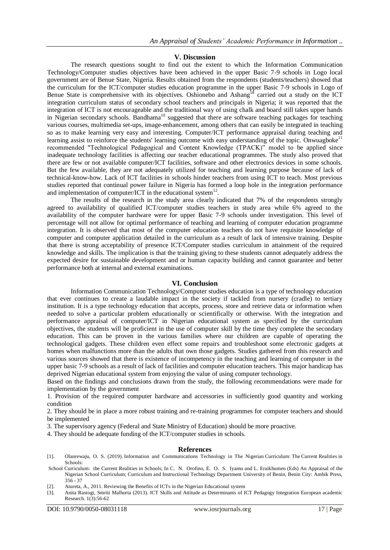#### **V. Discussion**

The research questions sought to find out the extent to which the Information Communication Technology/Computer studies objectives have been achieved in the upper Basic 7-9 schools in Logo local government are of Benue State, Nigeria. Results obtained from the respondents (students/teachers) showed that the curriculum for the ICT/computer studies education programme in the upper Basic 7-9 schools in Logo of Benue State is comprehensive with its objectives. Oshionebo and Ashang<sup>18</sup> carried out a study on the ICT integration curriculum status of secondary school teachers and principals in Nigeria; it was reported that the integration of ICT is not encourageable and the traditional way of using chalk and board still takes upper hands in Nigerian secondary schools. Bandhama<sup>10</sup> suggested that there are software teaching packages for teaching in various courses, multimedia set-ups, image-enhancement, among others that can easily be integrated in teaching so as to make learning very easy and interesting. Computer/ICT performance appraisal during teaching and learning assist to reinforce the students' learning outcome with easy understanding of the topic. Onwuagboke<sup>11</sup> recommended "Technological Pedagogical and Content Knowledge (TPACK)" model to be applied since inadequate technology facilities is affecting our teacher educational programmes. The study also proved that there are few or not available computer/ICT facilities, software and other electronics devices in some schools. But the few available, they are not adequately utilized for teaching and learning purpose because of lack of technical-know-how. Lack of ICT facilities in schools hinder teachers from using ICT to teach. Most previous studies reported that continual power failure in Nigeria has formed a loop hole in the integration performance and implementation of computer/ICT in the educational system<sup>12</sup>.

The results of the research in the study area clearly indicated that 7% of the respondents strongly agreed to availability of qualified ICT/computer studies teachers in study area while 6% agreed to the availability of the computer hardware were for upper Basic 7-9 schools under investigation. This level of percentage will not allow for optimal performance of teaching and learning of computer education programme integration. It is observed that most of the computer education teachers do not have requisite knowledge of computer and computer application detailed in the curriculum as a result of lack of intensive training. Despite that there is strong acceptability of presence ICT/Computer studies curriculum in attainment of the required knowledge and skills. The implication is that the training giving to these students cannot adequately address the expected desire for sustainable development and or human capacity building and cannot guarantee and better performance both at internal and external examinations.

#### **VI. Conclusion**

Information Communication Technology/Computer studies education is a type of technology education that ever continues to create a laudable impact in the society if tackled from nursery (cradle) to tertiary institution. It is a type technology education that accepts, process, store and retrieve data or information when needed to solve a particular problem educationally or scientifically or otherwise. With the integration and performance appraisal of computer/ICT in Nigerian educational system as specified by the curriculum objectives, the students will be proficient in the use of computer skill by the time they complete the secondary education. This can be proven in the various families where our children are capable of operating the technological gadgets. These children even effect some repairs and troubleshoot some electronic gadgets at homes when malfunctions more than the adults that own those gadgets. Studies gathered from this research and various sources showed that there is existence of incompetency in the teaching and learning of computer in the upper basic 7-9 schools as a result of lack of facilities and computer education teachers. This major handicap has deprived Nigerian educational system from enjoying the value of using computer technology.

Based on the findings and conclusions drawn from the study, the following recommendations were made for implementation by the government

1. Provision of the required computer hardware and accessories in sufficiently good quantity and working condition

2. They should be in place a more robust training and re-training programmes for computer teachers and should be implemented

3. The supervisory agency (Federal and State Ministry of Education) should be more proactive.

4. They should be adequate funding of the ICT/computer studies in schools.

#### **References**

- [1]. Olanrewaju, O. S. (2019). Information and Communications Technology in The Nigerian Curriculum: The Current Realities in Schools:
- School Curriculum: the Current Realities in Schools; In C. N. Orofino, E. O. S. Iyamu and L. Eraikhumen (Eds) An Appraisal of the Nigerian School Curriculum; Curriculum and Instructional Technology Department University of Benin, Benin City: Ambik Press, 356 - 37
- [2]. Atureta, A., 2011. Reviewing the Benefits of ICTs in the Nigerian Educational system
- [3]. Anita Rastogi, Smriti Malhorta (2013). ICT Skills and Attitude as Determinants of ICT Pedagogy Integration European academic Research. 1(3):56-62